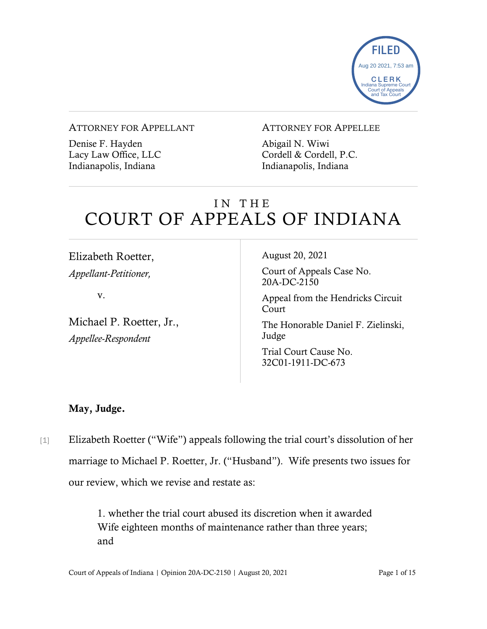

#### ATTORNEY FOR APPELLANT

Denise F. Hayden Lacy Law Office, LLC Indianapolis, Indiana

#### ATTORNEY FOR APPELLEE

Abigail N. Wiwi Cordell & Cordell, P.C. Indianapolis, Indiana

# IN THE COURT OF APPEALS OF INDIANA

Elizabeth Roetter, *Appellant-Petitioner,*

v.

Michael P. Roetter, Jr., *Appellee-Respondent*

August 20, 2021

Court of Appeals Case No. 20A-DC-2150

Appeal from the Hendricks Circuit Court

The Honorable Daniel F. Zielinski, Judge

Trial Court Cause No. 32C01-1911-DC-673

#### May, Judge.

[1] Elizabeth Roetter ("Wife") appeals following the trial court's dissolution of her marriage to Michael P. Roetter, Jr. ("Husband"). Wife presents two issues for our review, which we revise and restate as:

> 1. whether the trial court abused its discretion when it awarded Wife eighteen months of maintenance rather than three years; and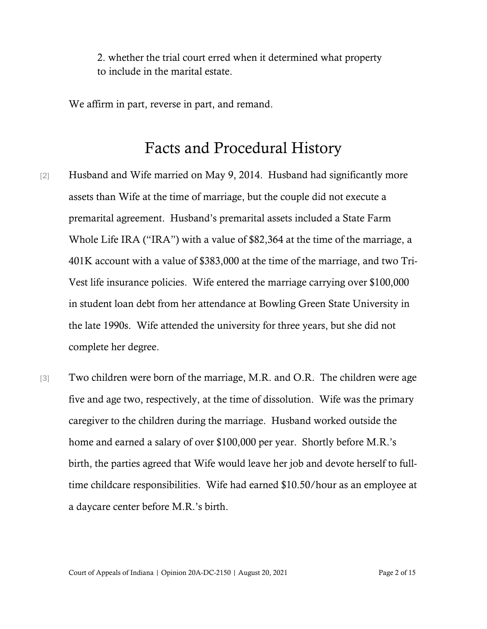2. whether the trial court erred when it determined what property to include in the marital estate.

We affirm in part, reverse in part, and remand.

### Facts and Procedural History

- [2] Husband and Wife married on May 9, 2014. Husband had significantly more assets than Wife at the time of marriage, but the couple did not execute a premarital agreement. Husband's premarital assets included a State Farm Whole Life IRA ("IRA") with a value of \$82,364 at the time of the marriage, a 401K account with a value of \$383,000 at the time of the marriage, and two Tri-Vest life insurance policies. Wife entered the marriage carrying over \$100,000 in student loan debt from her attendance at Bowling Green State University in the late 1990s. Wife attended the university for three years, but she did not complete her degree.
- [3] Two children were born of the marriage, M.R. and O.R. The children were age five and age two, respectively, at the time of dissolution. Wife was the primary caregiver to the children during the marriage. Husband worked outside the home and earned a salary of over \$100,000 per year. Shortly before M.R.'s birth, the parties agreed that Wife would leave her job and devote herself to fulltime childcare responsibilities. Wife had earned \$10.50/hour as an employee at a daycare center before M.R.'s birth.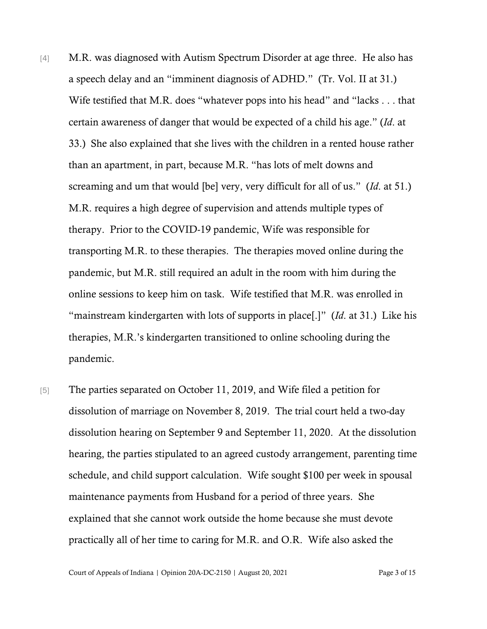- [4] M.R. was diagnosed with Autism Spectrum Disorder at age three. He also has a speech delay and an "imminent diagnosis of ADHD." (Tr. Vol. II at 31.) Wife testified that M.R. does "whatever pops into his head" and "lacks . . . that certain awareness of danger that would be expected of a child his age." (*Id*. at 33.) She also explained that she lives with the children in a rented house rather than an apartment, in part, because M.R. "has lots of melt downs and screaming and um that would [be] very, very difficult for all of us." (*Id*. at 51.) M.R. requires a high degree of supervision and attends multiple types of therapy. Prior to the COVID-19 pandemic, Wife was responsible for transporting M.R. to these therapies. The therapies moved online during the pandemic, but M.R. still required an adult in the room with him during the online sessions to keep him on task. Wife testified that M.R. was enrolled in "mainstream kindergarten with lots of supports in place[.]" (*Id*. at 31.) Like his therapies, M.R.'s kindergarten transitioned to online schooling during the pandemic.
- [5] The parties separated on October 11, 2019, and Wife filed a petition for dissolution of marriage on November 8, 2019. The trial court held a two-day dissolution hearing on September 9 and September 11, 2020. At the dissolution hearing, the parties stipulated to an agreed custody arrangement, parenting time schedule, and child support calculation. Wife sought \$100 per week in spousal maintenance payments from Husband for a period of three years. She explained that she cannot work outside the home because she must devote practically all of her time to caring for M.R. and O.R. Wife also asked the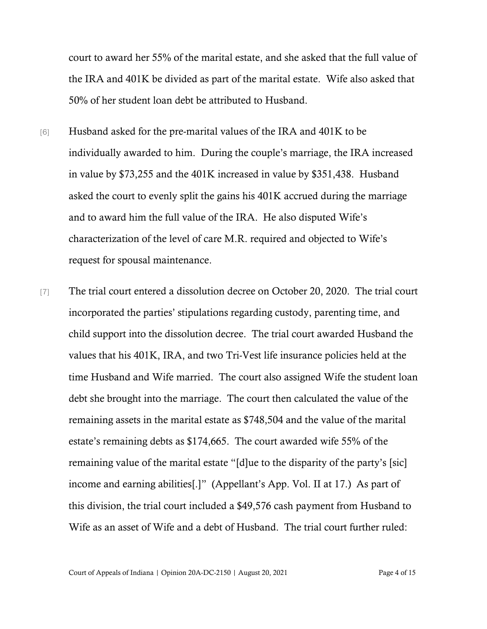court to award her 55% of the marital estate, and she asked that the full value of the IRA and 401K be divided as part of the marital estate. Wife also asked that 50% of her student loan debt be attributed to Husband.

- [6] Husband asked for the pre-marital values of the IRA and 401K to be individually awarded to him. During the couple's marriage, the IRA increased in value by \$73,255 and the 401K increased in value by \$351,438. Husband asked the court to evenly split the gains his 401K accrued during the marriage and to award him the full value of the IRA. He also disputed Wife's characterization of the level of care M.R. required and objected to Wife's request for spousal maintenance.
- [7] The trial court entered a dissolution decree on October 20, 2020. The trial court incorporated the parties' stipulations regarding custody, parenting time, and child support into the dissolution decree. The trial court awarded Husband the values that his 401K, IRA, and two Tri-Vest life insurance policies held at the time Husband and Wife married. The court also assigned Wife the student loan debt she brought into the marriage. The court then calculated the value of the remaining assets in the marital estate as \$748,504 and the value of the marital estate's remaining debts as \$174,665. The court awarded wife 55% of the remaining value of the marital estate "[d]ue to the disparity of the party's [sic] income and earning abilities[.]" (Appellant's App. Vol. II at 17.) As part of this division, the trial court included a \$49,576 cash payment from Husband to Wife as an asset of Wife and a debt of Husband. The trial court further ruled:

Court of Appeals of Indiana | Opinion 20A-DC-2150 | August 20, 2021 Page 4 of 15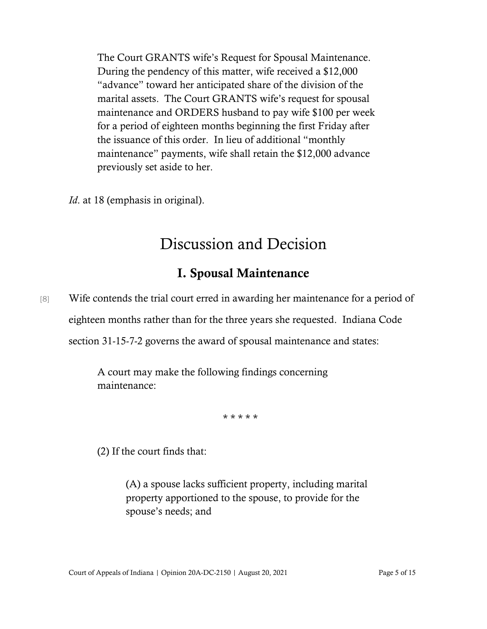The Court GRANTS wife's Request for Spousal Maintenance. During the pendency of this matter, wife received a \$12,000 "advance" toward her anticipated share of the division of the marital assets. The Court GRANTS wife's request for spousal maintenance and ORDERS husband to pay wife \$100 per week for a period of eighteen months beginning the first Friday after the issuance of this order. In lieu of additional "monthly maintenance" payments, wife shall retain the \$12,000 advance previously set aside to her.

*Id.* at 18 (emphasis in original).

# Discussion and Decision

### I. Spousal Maintenance

[8] Wife contends the trial court erred in awarding her maintenance for a period of eighteen months rather than for the three years she requested. Indiana Code section 31-15-7-2 governs the award of spousal maintenance and states:

> A court may make the following findings concerning maintenance:

> > \* \* \* \* \*

(2) If the court finds that:

(A) a spouse lacks sufficient property, including marital property apportioned to the spouse, to provide for the spouse's needs; and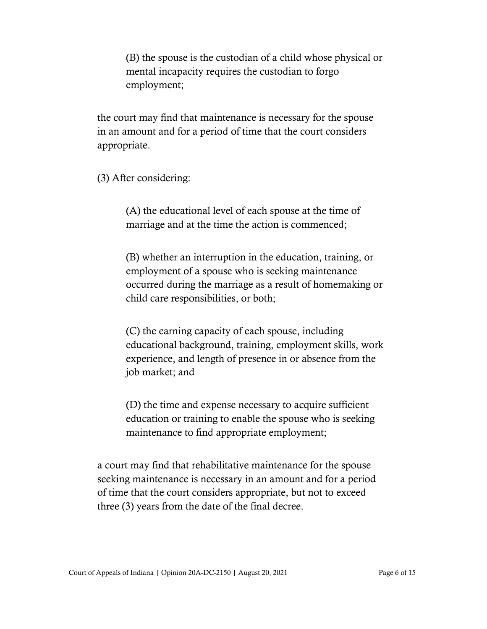(B) the spouse is the custodian of a child whose physical or mental incapacity requires the custodian to forgo employment;

the court may find that maintenance is necessary for the spouse in an amount and for a period of time that the court considers appropriate.

(3) After considering:

(A) the educational level of each spouse at the time of marriage and at the time the action is commenced;

(B) whether an interruption in the education, training, or employment of a spouse who is seeking maintenance occurred during the marriage as a result of homemaking or child care responsibilities, or both;

(C) the earning capacity of each spouse, including educational background, training, employment skills, work experience, and length of presence in or absence from the job market; and

(D) the time and expense necessary to acquire sufficient education or training to enable the spouse who is seeking maintenance to find appropriate employment;

a court may find that rehabilitative maintenance for the spouse seeking maintenance is necessary in an amount and for a period of time that the court considers appropriate, but not to exceed three (3) years from the date of the final decree.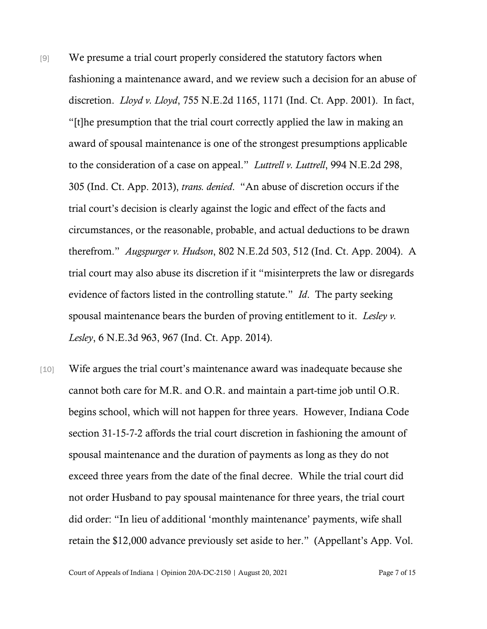- [9] We presume a trial court properly considered the statutory factors when fashioning a maintenance award, and we review such a decision for an abuse of discretion. *Lloyd v. Lloyd*, 755 N.E.2d 1165, 1171 (Ind. Ct. App. 2001). In fact, "[t]he presumption that the trial court correctly applied the law in making an award of spousal maintenance is one of the strongest presumptions applicable to the consideration of a case on appeal." *Luttrell v. Luttrell*, 994 N.E.2d 298, 305 (Ind. Ct. App. 2013), *trans. denied*. "An abuse of discretion occurs if the trial court's decision is clearly against the logic and effect of the facts and circumstances, or the reasonable, probable, and actual deductions to be drawn therefrom." *Augspurger v. Hudson*, 802 N.E.2d 503, 512 (Ind. Ct. App. 2004). A trial court may also abuse its discretion if it "misinterprets the law or disregards evidence of factors listed in the controlling statute." *Id*. The party seeking spousal maintenance bears the burden of proving entitlement to it. *Lesley v. Lesley*, 6 N.E.3d 963, 967 (Ind. Ct. App. 2014).
- [10] Wife argues the trial court's maintenance award was inadequate because she cannot both care for M.R. and O.R. and maintain a part-time job until O.R. begins school, which will not happen for three years. However, Indiana Code section 31-15-7-2 affords the trial court discretion in fashioning the amount of spousal maintenance and the duration of payments as long as they do not exceed three years from the date of the final decree. While the trial court did not order Husband to pay spousal maintenance for three years, the trial court did order: "In lieu of additional 'monthly maintenance' payments, wife shall retain the \$12,000 advance previously set aside to her." (Appellant's App. Vol.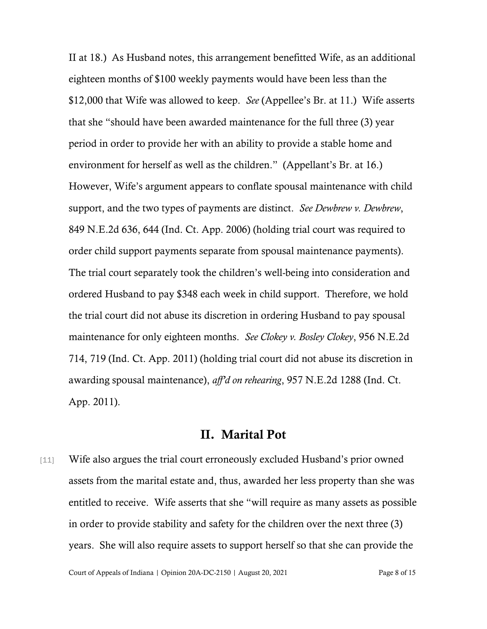II at 18.) As Husband notes, this arrangement benefitted Wife, as an additional eighteen months of \$100 weekly payments would have been less than the \$12,000 that Wife was allowed to keep. *See* (Appellee's Br. at 11.) Wife asserts that she "should have been awarded maintenance for the full three (3) year period in order to provide her with an ability to provide a stable home and environment for herself as well as the children." (Appellant's Br. at 16.) However, Wife's argument appears to conflate spousal maintenance with child support, and the two types of payments are distinct. *See Dewbrew v. Dewbrew*, 849 N.E.2d 636, 644 (Ind. Ct. App. 2006) (holding trial court was required to order child support payments separate from spousal maintenance payments). The trial court separately took the children's well-being into consideration and ordered Husband to pay \$348 each week in child support. Therefore, we hold the trial court did not abuse its discretion in ordering Husband to pay spousal maintenance for only eighteen months. *See Clokey v. Bosley Clokey*, 956 N.E.2d 714, 719 (Ind. Ct. App. 2011) (holding trial court did not abuse its discretion in awarding spousal maintenance), *aff'd on rehearing*, 957 N.E.2d 1288 (Ind. Ct. App. 2011).

#### II. Marital Pot

[11] Wife also argues the trial court erroneously excluded Husband's prior owned assets from the marital estate and, thus, awarded her less property than she was entitled to receive. Wife asserts that she "will require as many assets as possible in order to provide stability and safety for the children over the next three (3) years. She will also require assets to support herself so that she can provide the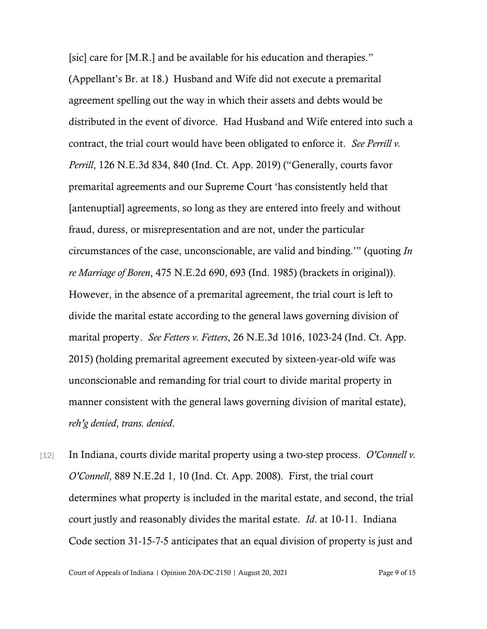[sic] care for [M.R.] and be available for his education and therapies." (Appellant's Br. at 18.) Husband and Wife did not execute a premarital agreement spelling out the way in which their assets and debts would be distributed in the event of divorce. Had Husband and Wife entered into such a contract, the trial court would have been obligated to enforce it. *See Perrill v. Perrill*, 126 N.E.3d 834, 840 (Ind. Ct. App. 2019) ("Generally, courts favor premarital agreements and our Supreme Court 'has consistently held that [antenuptial] agreements, so long as they are entered into freely and without fraud, duress, or misrepresentation and are not, under the particular circumstances of the case, unconscionable, are valid and binding.'" (quoting *In re Marriage of Boren*, 475 N.E.2d 690, 693 (Ind. 1985) (brackets in original)). However, in the absence of a premarital agreement, the trial court is left to divide the marital estate according to the general laws governing division of marital property. *See Fetters v. Fetters*, 26 N.E.3d 1016, 1023-24 (Ind. Ct. App. 2015) (holding premarital agreement executed by sixteen-year-old wife was unconscionable and remanding for trial court to divide marital property in manner consistent with the general laws governing division of marital estate), *reh'g denied*, *trans. denied*.

[12] In Indiana, courts divide marital property using a two-step process. *O'Connell v. O'Connell*, 889 N.E.2d 1, 10 (Ind. Ct. App. 2008). First, the trial court determines what property is included in the marital estate, and second, the trial court justly and reasonably divides the marital estate. *Id*. at 10-11. Indiana Code section 31-15-7-5 anticipates that an equal division of property is just and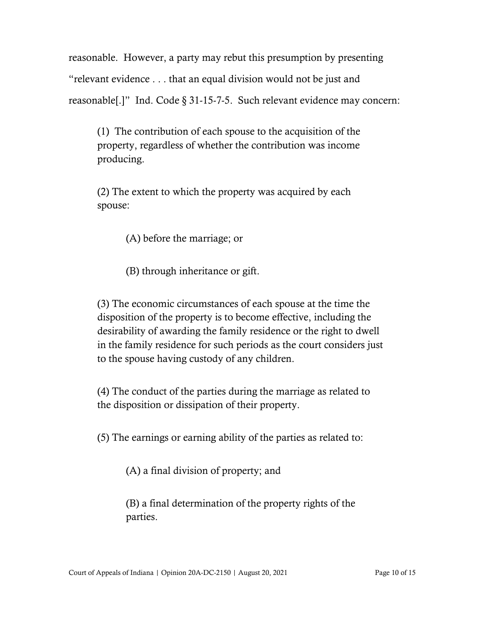reasonable. However, a party may rebut this presumption by presenting "relevant evidence . . . that an equal division would not be just and reasonable[.]" Ind. Code § 31-15-7-5. Such relevant evidence may concern:

(1) The contribution of each spouse to the acquisition of the property, regardless of whether the contribution was income producing.

(2) The extent to which the property was acquired by each spouse:

(A) before the marriage; or

(B) through inheritance or gift.

(3) The economic circumstances of each spouse at the time the disposition of the property is to become effective, including the desirability of awarding the family residence or the right to dwell in the family residence for such periods as the court considers just to the spouse having custody of any children.

(4) The conduct of the parties during the marriage as related to the disposition or dissipation of their property.

(5) The earnings or earning ability of the parties as related to:

(A) a final division of property; and

(B) a final determination of the property rights of the parties.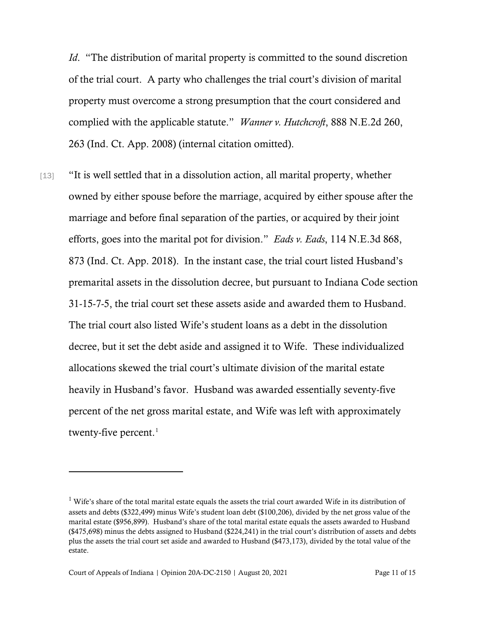*Id.* "The distribution of marital property is committed to the sound discretion of the trial court. A party who challenges the trial court's division of marital property must overcome a strong presumption that the court considered and complied with the applicable statute." *Wanner v. Hutchcroft*, 888 N.E.2d 260, 263 (Ind. Ct. App. 2008) (internal citation omitted).

[13] "It is well settled that in a dissolution action, all marital property, whether owned by either spouse before the marriage, acquired by either spouse after the marriage and before final separation of the parties, or acquired by their joint efforts, goes into the marital pot for division." *Eads v. Eads*, 114 N.E.3d 868, 873 (Ind. Ct. App. 2018). In the instant case, the trial court listed Husband's premarital assets in the dissolution decree, but pursuant to Indiana Code section 31-15-7-5, the trial court set these assets aside and awarded them to Husband. The trial court also listed Wife's student loans as a debt in the dissolution decree, but it set the debt aside and assigned it to Wife. These individualized allocations skewed the trial court's ultimate division of the marital estate heavily in Husband's favor. Husband was awarded essentially seventy-five percent of the net gross marital estate, and Wife was left with approximately twenty-five percent. $^1$  $^1$ 

<span id="page-10-0"></span><sup>&</sup>lt;sup>1</sup> Wife's share of the total marital estate equals the assets the trial court awarded Wife in its distribution of assets and debts (\$322,499) minus Wife's student loan debt (\$100,206), divided by the net gross value of the marital estate (\$956,899). Husband's share of the total marital estate equals the assets awarded to Husband (\$475,698) minus the debts assigned to Husband (\$224,241) in the trial court's distribution of assets and debts plus the assets the trial court set aside and awarded to Husband (\$473,173), divided by the total value of the estate.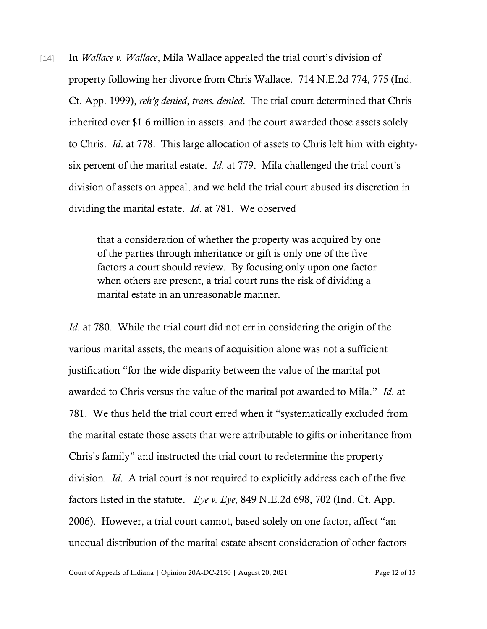[14] In *Wallace v. Wallace*, Mila Wallace appealed the trial court's division of property following her divorce from Chris Wallace. 714 N.E.2d 774, 775 (Ind. Ct. App. 1999), *reh'g denied*, *trans. denied*. The trial court determined that Chris inherited over \$1.6 million in assets, and the court awarded those assets solely to Chris. *Id*. at 778. This large allocation of assets to Chris left him with eightysix percent of the marital estate. *Id*. at 779. Mila challenged the trial court's division of assets on appeal, and we held the trial court abused its discretion in dividing the marital estate. *Id*. at 781. We observed

> that a consideration of whether the property was acquired by one of the parties through inheritance or gift is only one of the five factors a court should review. By focusing only upon one factor when others are present, a trial court runs the risk of dividing a marital estate in an unreasonable manner.

*Id.* at 780. While the trial court did not err in considering the origin of the various marital assets, the means of acquisition alone was not a sufficient justification "for the wide disparity between the value of the marital pot awarded to Chris versus the value of the marital pot awarded to Mila." *Id*. at 781. We thus held the trial court erred when it "systematically excluded from the marital estate those assets that were attributable to gifts or inheritance from Chris's family" and instructed the trial court to redetermine the property division. *Id*. A trial court is not required to explicitly address each of the five factors listed in the statute. *Eye v. Eye*, 849 N.E.2d 698, 702 (Ind. Ct. App. 2006). However, a trial court cannot, based solely on one factor, affect "an unequal distribution of the marital estate absent consideration of other factors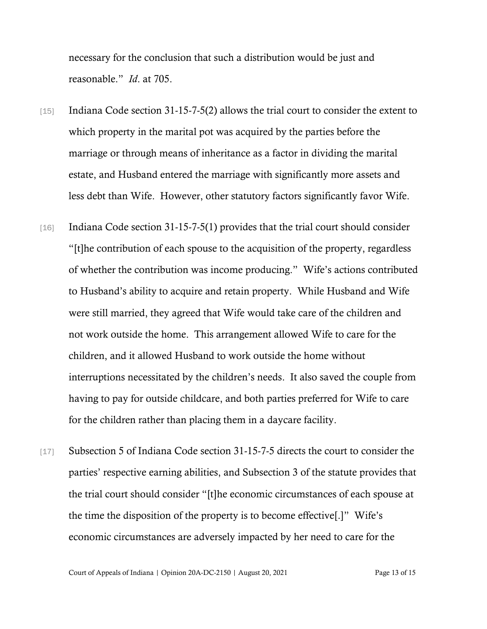necessary for the conclusion that such a distribution would be just and reasonable." *Id*. at 705.

- [15] Indiana Code section 31-15-7-5(2) allows the trial court to consider the extent to which property in the marital pot was acquired by the parties before the marriage or through means of inheritance as a factor in dividing the marital estate, and Husband entered the marriage with significantly more assets and less debt than Wife. However, other statutory factors significantly favor Wife.
- [16] Indiana Code section 31-15-7-5(1) provides that the trial court should consider "[t]he contribution of each spouse to the acquisition of the property, regardless of whether the contribution was income producing." Wife's actions contributed to Husband's ability to acquire and retain property. While Husband and Wife were still married, they agreed that Wife would take care of the children and not work outside the home. This arrangement allowed Wife to care for the children, and it allowed Husband to work outside the home without interruptions necessitated by the children's needs. It also saved the couple from having to pay for outside childcare, and both parties preferred for Wife to care for the children rather than placing them in a daycare facility.
- [17] Subsection 5 of Indiana Code section 31-15-7-5 directs the court to consider the parties' respective earning abilities, and Subsection 3 of the statute provides that the trial court should consider "[t]he economic circumstances of each spouse at the time the disposition of the property is to become effective[.]" Wife's economic circumstances are adversely impacted by her need to care for the

Court of Appeals of Indiana | Opinion 20A-DC-2150 | August 20, 2021 Page 13 of 15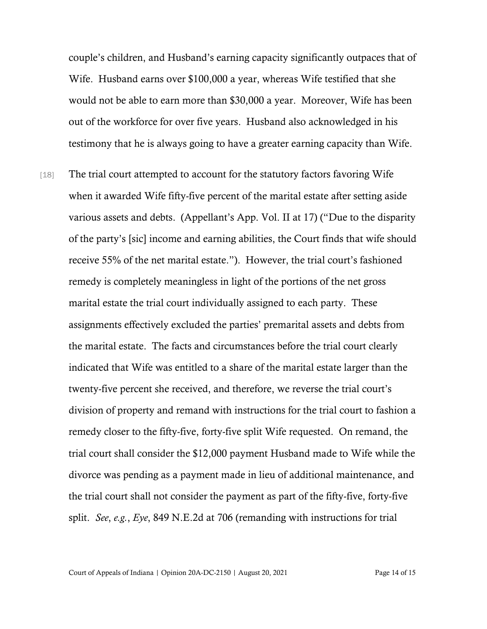couple's children, and Husband's earning capacity significantly outpaces that of Wife. Husband earns over \$100,000 a year, whereas Wife testified that she would not be able to earn more than \$30,000 a year. Moreover, Wife has been out of the workforce for over five years. Husband also acknowledged in his testimony that he is always going to have a greater earning capacity than Wife.

[18] The trial court attempted to account for the statutory factors favoring Wife when it awarded Wife fifty-five percent of the marital estate after setting aside various assets and debts. (Appellant's App. Vol. II at 17) ("Due to the disparity of the party's [sic] income and earning abilities, the Court finds that wife should receive 55% of the net marital estate."). However, the trial court's fashioned remedy is completely meaningless in light of the portions of the net gross marital estate the trial court individually assigned to each party. These assignments effectively excluded the parties' premarital assets and debts from the marital estate. The facts and circumstances before the trial court clearly indicated that Wife was entitled to a share of the marital estate larger than the twenty-five percent she received, and therefore, we reverse the trial court's division of property and remand with instructions for the trial court to fashion a remedy closer to the fifty-five, forty-five split Wife requested. On remand, the trial court shall consider the \$12,000 payment Husband made to Wife while the divorce was pending as a payment made in lieu of additional maintenance, and the trial court shall not consider the payment as part of the fifty-five, forty-five split. *See*, *e.g.*, *Eye*, 849 N.E.2d at 706 (remanding with instructions for trial